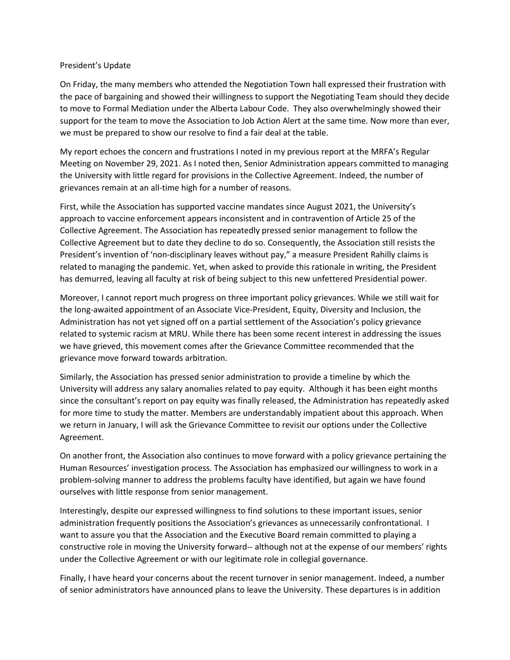## President's Update

On Friday, the many members who attended the Negotiation Town hall expressed their frustration with the pace of bargaining and showed their willingness to support the Negotiating Team should they decide to move to Formal Mediation under the Alberta Labour Code. They also overwhelmingly showed their support for the team to move the Association to Job Action Alert at the same time. Now more than ever, we must be prepared to show our resolve to find a fair deal at the table.

My report echoes the concern and frustrations I noted in my previous report at the MRFA's Regular Meeting on November 29, 2021. As I noted then, Senior Administration appears committed to managing the University with little regard for provisions in the Collective Agreement. Indeed, the number of grievances remain at an all-time high for a number of reasons.

First, while the Association has supported vaccine mandates since August 2021, the University's approach to vaccine enforcement appears inconsistent and in contravention of Article 25 of the Collective Agreement. The Association has repeatedly pressed senior management to follow the Collective Agreement but to date they decline to do so. Consequently, the Association still resists the President's invention of 'non-disciplinary leaves without pay," a measure President Rahilly claims is related to managing the pandemic. Yet, when asked to provide this rationale in writing, the President has demurred, leaving all faculty at risk of being subject to this new unfettered Presidential power.

Moreover, I cannot report much progress on three important policy grievances. While we still wait for the long-awaited appointment of an Associate Vice-President, Equity, Diversity and Inclusion, the Administration has not yet signed off on a partial settlement of the Association's policy grievance related to systemic racism at MRU. While there has been some recent interest in addressing the issues we have grieved, this movement comes after the Grievance Committee recommended that the grievance move forward towards arbitration.

Similarly, the Association has pressed senior administration to provide a timeline by which the University will address any salary anomalies related to pay equity. Although it has been eight months since the consultant's report on pay equity was finally released, the Administration has repeatedly asked for more time to study the matter. Members are understandably impatient about this approach. When we return in January, I will ask the Grievance Committee to revisit our options under the Collective Agreement.

On another front, the Association also continues to move forward with a policy grievance pertaining the Human Resources' investigation process. The Association has emphasized our willingness to work in a problem-solving manner to address the problems faculty have identified, but again we have found ourselves with little response from senior management.

Interestingly, despite our expressed willingness to find solutions to these important issues, senior administration frequently positions the Association's grievances as unnecessarily confrontational. I want to assure you that the Association and the Executive Board remain committed to playing a constructive role in moving the University forward-- although not at the expense of our members' rights under the Collective Agreement or with our legitimate role in collegial governance.

Finally, I have heard your concerns about the recent turnover in senior management. Indeed, a number of senior administrators have announced plans to leave the University. These departures is in addition